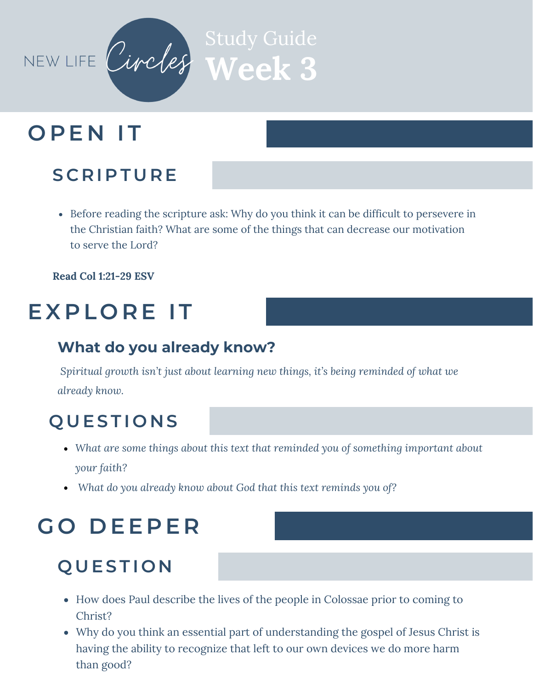

# **O P E N I T**

#### **S C R I P T U R E**

Before reading the scripture ask: Why do you think it can be difficult to persevere in the Christian faith? What are some of the things that can decrease our motivation to serve the Lord?

**Read Col 1:21-29 ESV**

## **EX P L O R E I T**

#### **What do you already know?**

*Spiritual growth isn't just about learning new things, it's being reminded of what we already know.*

#### **Q U ES T I O N S**

- *What are some things about this text that reminded you of something important about your faith?*
- *What do you already know about God that this text reminds you of?*

## **G O D EE P E R**

#### **Q U ES T I O N**

- How does Paul describe the lives of the people in Colossae prior to coming to Christ?
- Why do you think an essential part of understanding the gospel of Jesus Christ is having the ability to recognize that left to our own devices we do more harm than good?